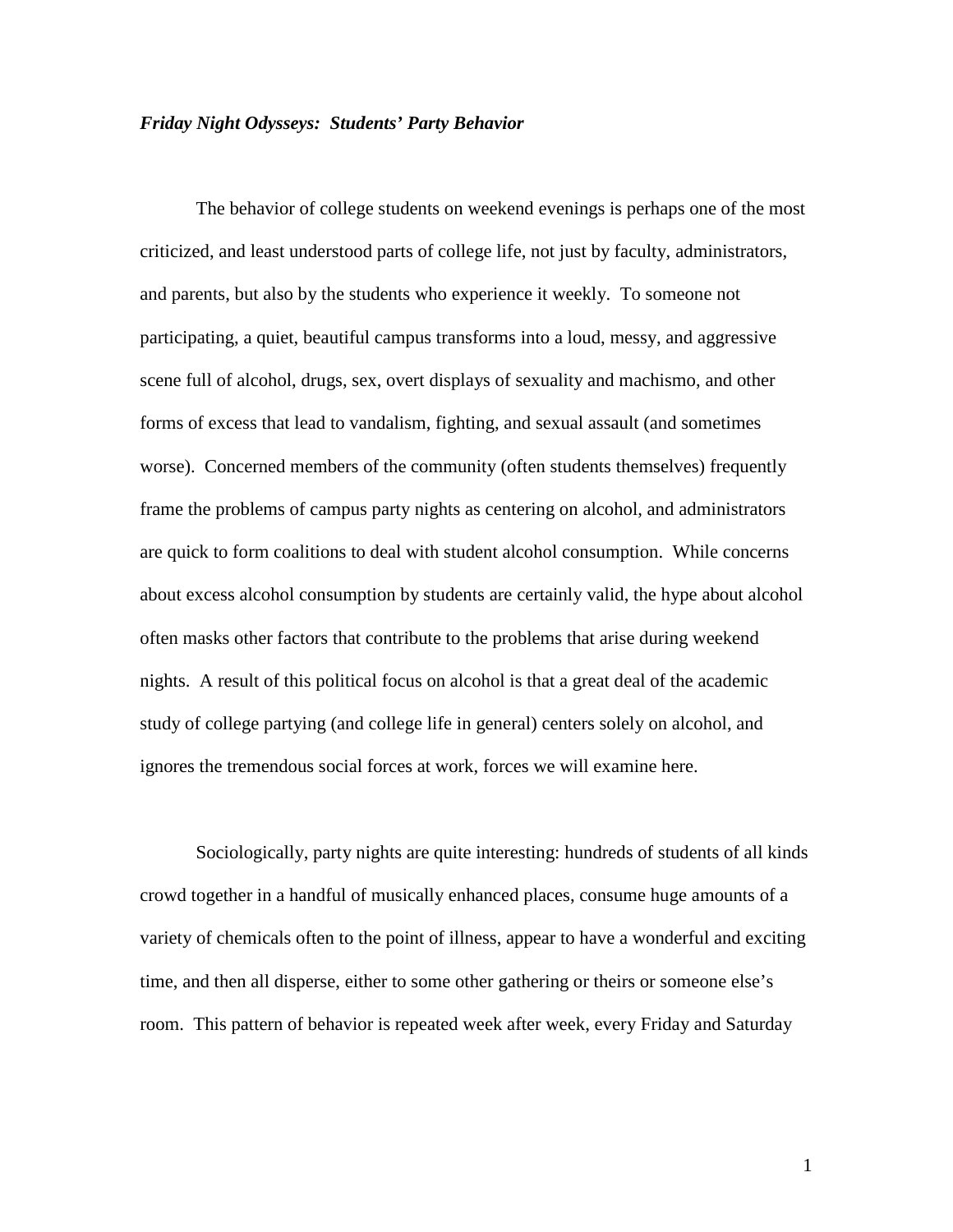### *Friday Night Odysseys: Students' Party Behavior*

 The behavior of college students on weekend evenings is perhaps one of the most criticized, and least understood parts of college life, not just by faculty, administrators, and parents, but also by the students who experience it weekly. To someone not participating, a quiet, beautiful campus transforms into a loud, messy, and aggressive scene full of alcohol, drugs, sex, overt displays of sexuality and machismo, and other forms of excess that lead to vandalism, fighting, and sexual assault (and sometimes worse). Concerned members of the community (often students themselves) frequently frame the problems of campus party nights as centering on alcohol, and administrators are quick to form coalitions to deal with student alcohol consumption. While concerns about excess alcohol consumption by students are certainly valid, the hype about alcohol often masks other factors that contribute to the problems that arise during weekend nights. A result of this political focus on alcohol is that a great deal of the academic study of college partying (and college life in general) centers solely on alcohol, and ignores the tremendous social forces at work, forces we will examine here.

Sociologically, party nights are quite interesting: hundreds of students of all kinds crowd together in a handful of musically enhanced places, consume huge amounts of a variety of chemicals often to the point of illness, appear to have a wonderful and exciting time, and then all disperse, either to some other gathering or theirs or someone else's room. This pattern of behavior is repeated week after week, every Friday and Saturday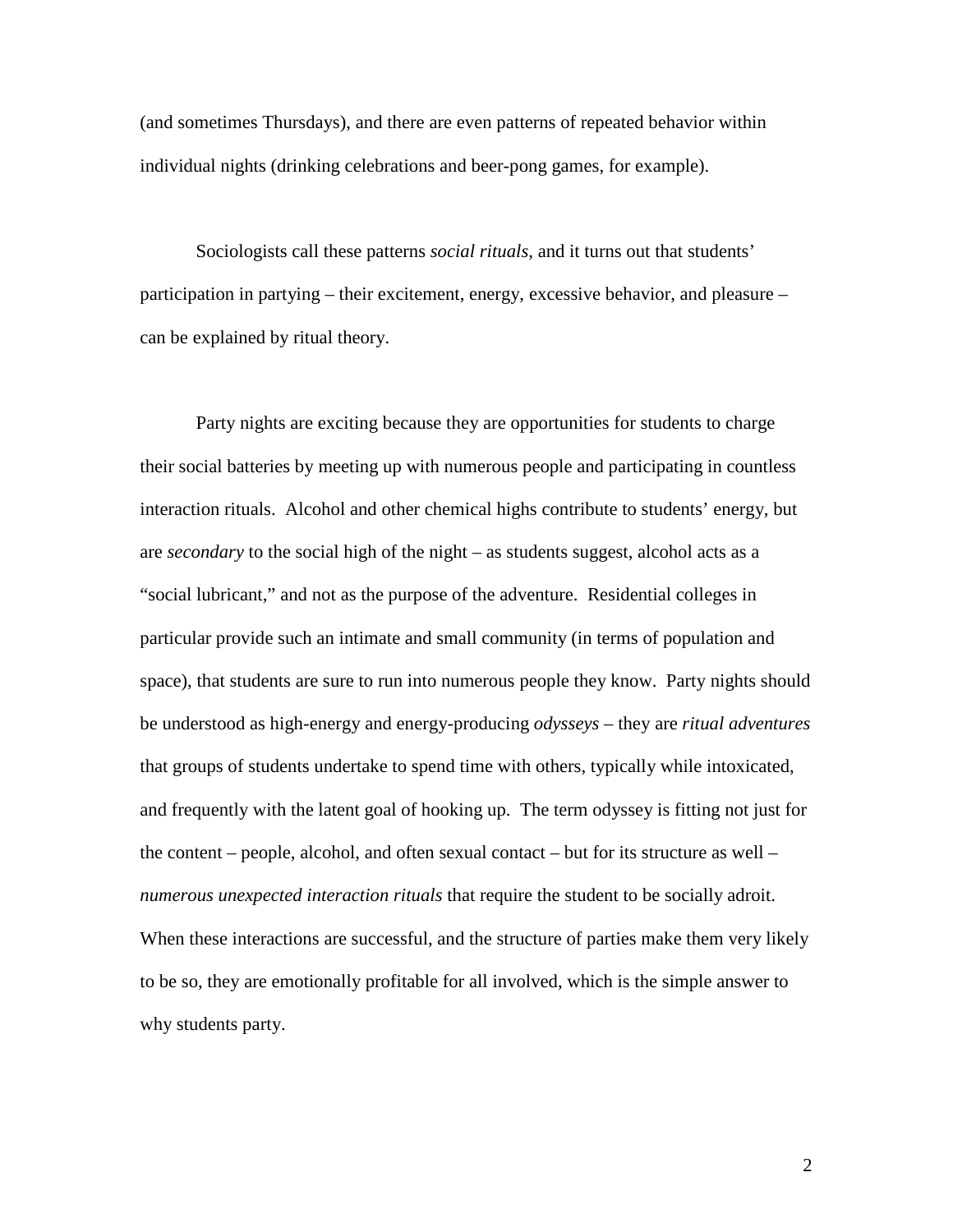(and sometimes Thursdays), and there are even patterns of repeated behavior within individual nights (drinking celebrations and beer-pong games, for example).

Sociologists call these patterns *social rituals*, and it turns out that students' participation in partying – their excitement, energy, excessive behavior, and pleasure – can be explained by ritual theory.

Party nights are exciting because they are opportunities for students to charge their social batteries by meeting up with numerous people and participating in countless interaction rituals. Alcohol and other chemical highs contribute to students' energy, but are *secondary* to the social high of the night – as students suggest, alcohol acts as a "social lubricant," and not as the purpose of the adventure. Residential colleges in particular provide such an intimate and small community (in terms of population and space), that students are sure to run into numerous people they know. Party nights should be understood as high-energy and energy-producing *odysseys* – they are *ritual adventures* that groups of students undertake to spend time with others, typically while intoxicated, and frequently with the latent goal of hooking up. The term odyssey is fitting not just for the content – people, alcohol, and often sexual contact – but for its structure as well – *numerous unexpected interaction rituals* that require the student to be socially adroit. When these interactions are successful, and the structure of parties make them very likely to be so, they are emotionally profitable for all involved, which is the simple answer to why students party.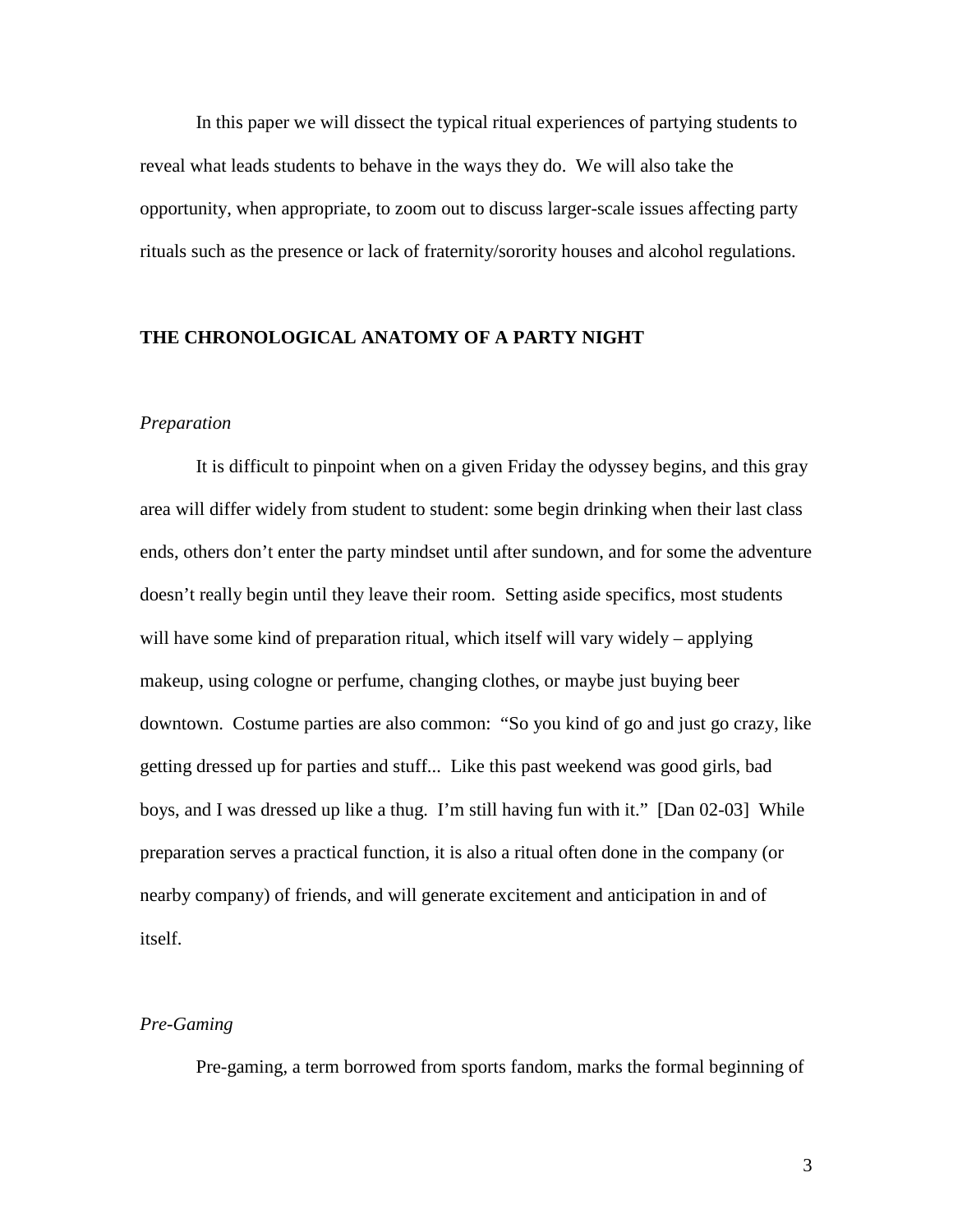In this paper we will dissect the typical ritual experiences of partying students to reveal what leads students to behave in the ways they do. We will also take the opportunity, when appropriate, to zoom out to discuss larger-scale issues affecting party rituals such as the presence or lack of fraternity/sorority houses and alcohol regulations.

## **THE CHRONOLOGICAL ANATOMY OF A PARTY NIGHT**

### *Preparation*

It is difficult to pinpoint when on a given Friday the odyssey begins, and this gray area will differ widely from student to student: some begin drinking when their last class ends, others don't enter the party mindset until after sundown, and for some the adventure doesn't really begin until they leave their room. Setting aside specifics, most students will have some kind of preparation ritual, which itself will vary widely – applying makeup, using cologne or perfume, changing clothes, or maybe just buying beer downtown. Costume parties are also common: "So you kind of go and just go crazy, like getting dressed up for parties and stuff... Like this past weekend was good girls, bad boys, and I was dressed up like a thug. I'm still having fun with it." [Dan 02-03] While preparation serves a practical function, it is also a ritual often done in the company (or nearby company) of friends, and will generate excitement and anticipation in and of itself.

## *Pre-Gaming*

Pre-gaming, a term borrowed from sports fandom, marks the formal beginning of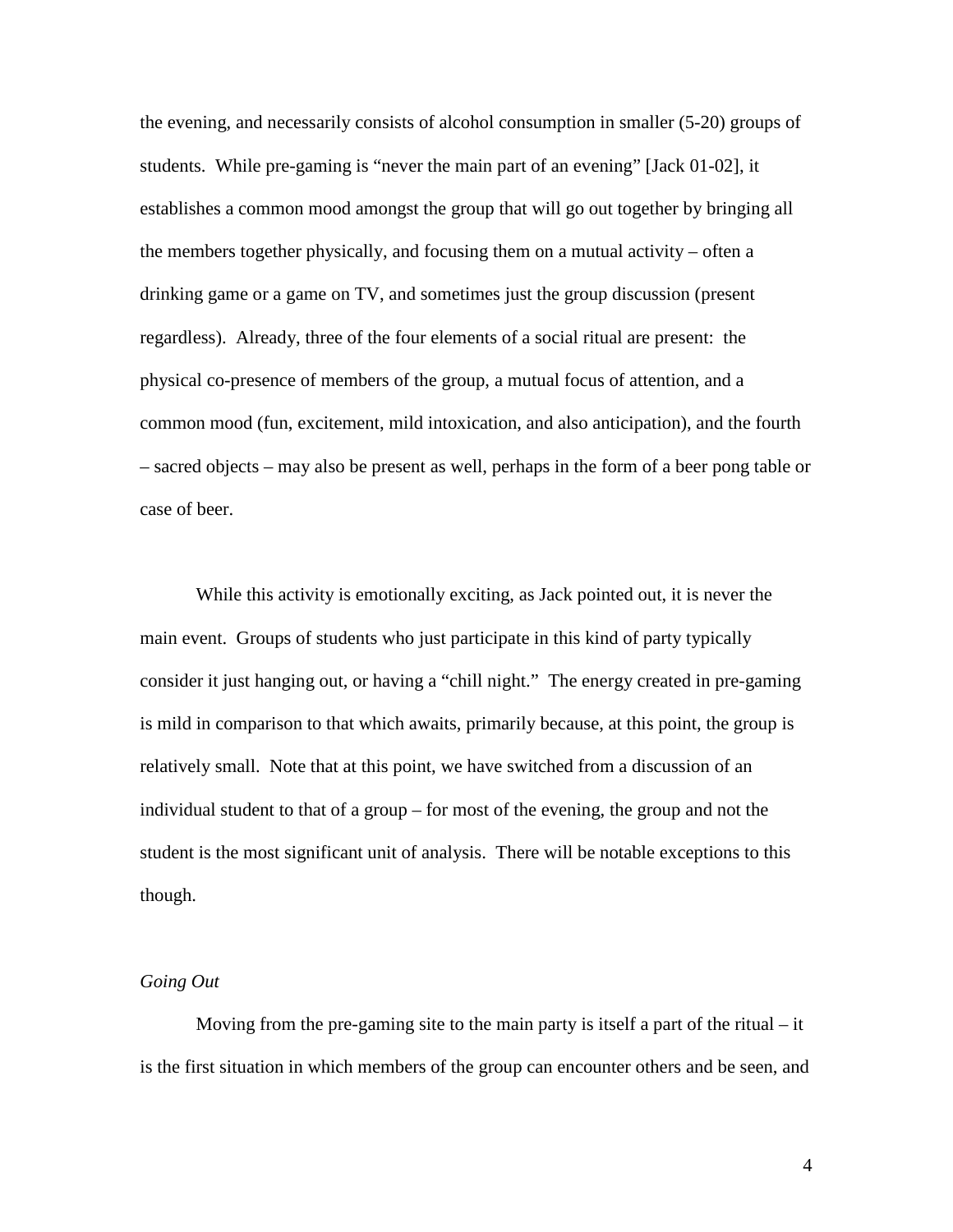the evening, and necessarily consists of alcohol consumption in smaller (5-20) groups of students. While pre-gaming is "never the main part of an evening" [Jack 01-02], it establishes a common mood amongst the group that will go out together by bringing all the members together physically, and focusing them on a mutual activity – often a drinking game or a game on TV, and sometimes just the group discussion (present regardless). Already, three of the four elements of a social ritual are present: the physical co-presence of members of the group, a mutual focus of attention, and a common mood (fun, excitement, mild intoxication, and also anticipation), and the fourth – sacred objects – may also be present as well, perhaps in the form of a beer pong table or case of beer.

While this activity is emotionally exciting, as Jack pointed out, it is never the main event. Groups of students who just participate in this kind of party typically consider it just hanging out, or having a "chill night." The energy created in pre-gaming is mild in comparison to that which awaits, primarily because, at this point, the group is relatively small. Note that at this point, we have switched from a discussion of an individual student to that of a group – for most of the evening, the group and not the student is the most significant unit of analysis. There will be notable exceptions to this though.

## *Going Out*

Moving from the pre-gaming site to the main party is itself a part of the ritual – it is the first situation in which members of the group can encounter others and be seen, and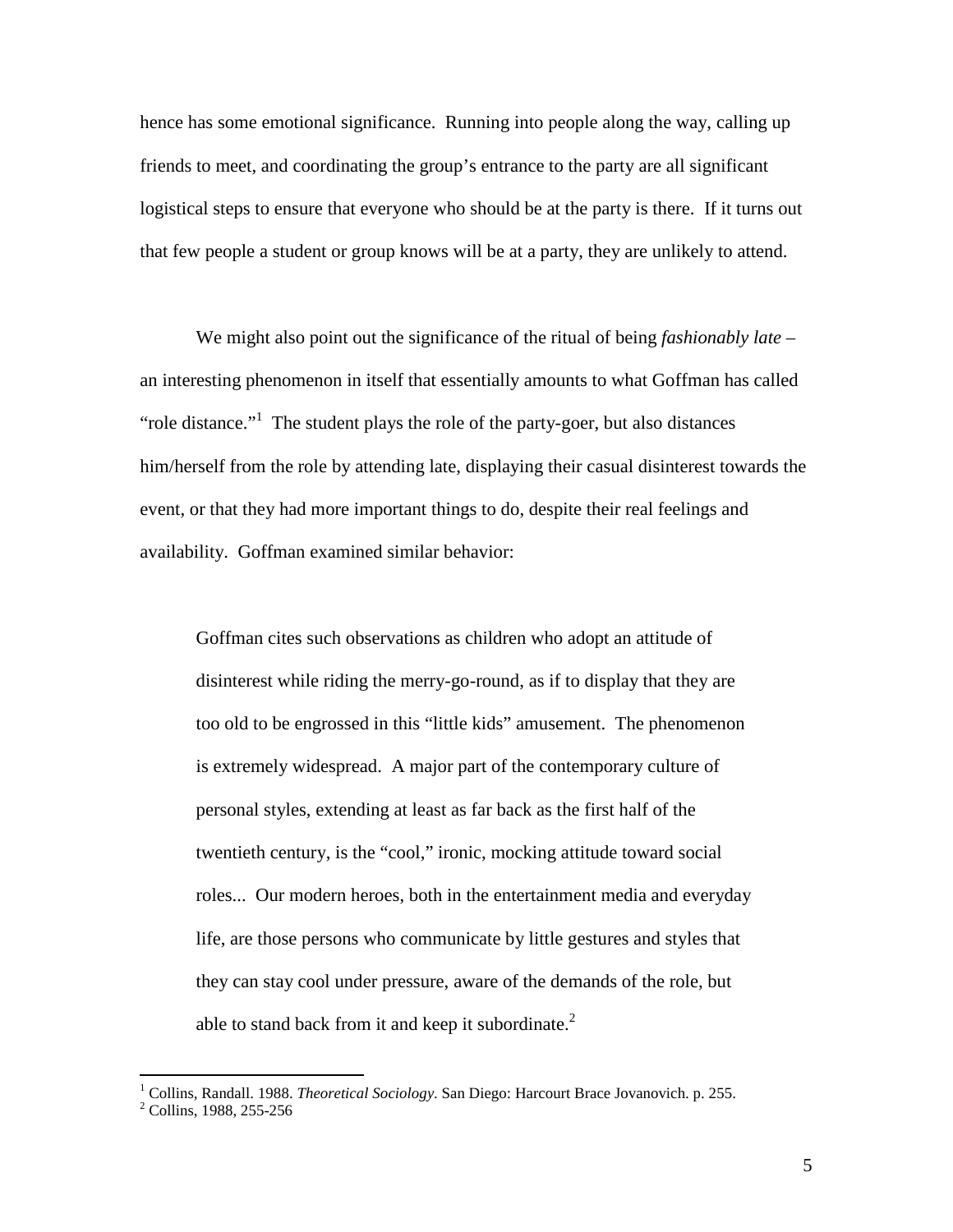hence has some emotional significance. Running into people along the way, calling up friends to meet, and coordinating the group's entrance to the party are all significant logistical steps to ensure that everyone who should be at the party is there. If it turns out that few people a student or group knows will be at a party, they are unlikely to attend.

We might also point out the significance of the ritual of being *fashionably late* – an interesting phenomenon in itself that essentially amounts to what Goffman has called "role distance."<sup>1</sup> The student plays the role of the party-goer, but also distances him/herself from the role by attending late, displaying their casual disinterest towards the event, or that they had more important things to do, despite their real feelings and availability. Goffman examined similar behavior:

Goffman cites such observations as children who adopt an attitude of disinterest while riding the merry-go-round, as if to display that they are too old to be engrossed in this "little kids" amusement. The phenomenon is extremely widespread. A major part of the contemporary culture of personal styles, extending at least as far back as the first half of the twentieth century, is the "cool," ironic, mocking attitude toward social roles... Our modern heroes, both in the entertainment media and everyday life, are those persons who communicate by little gestures and styles that they can stay cool under pressure, aware of the demands of the role, but able to stand back from it and keep it subordinate.<sup>2</sup>

 1 Collins, Randall. 1988. *Theoretical Sociology*. San Diego: Harcourt Brace Jovanovich. p. 255.

<sup>&</sup>lt;sup>2</sup> Collins, 1988, 255-256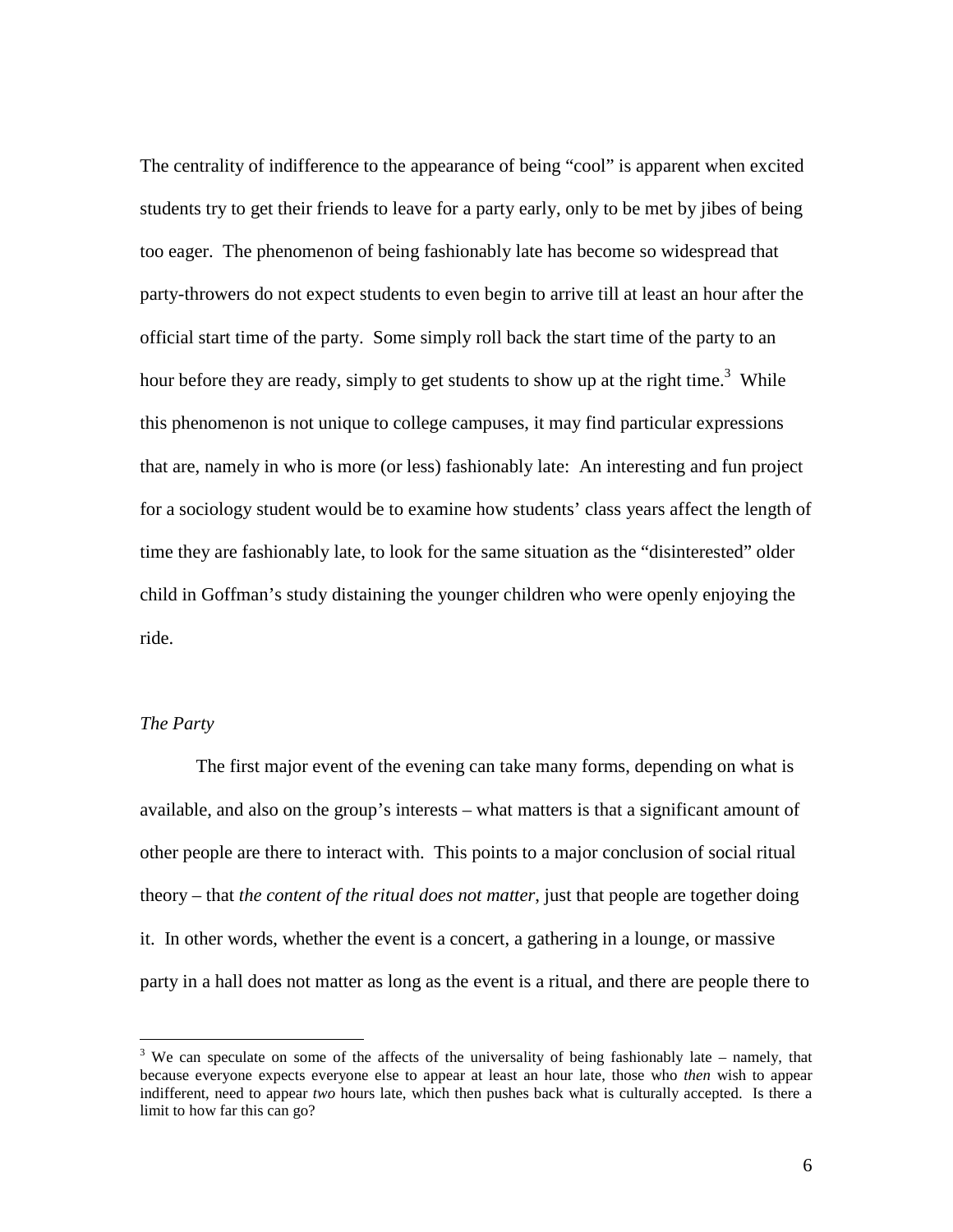The centrality of indifference to the appearance of being "cool" is apparent when excited students try to get their friends to leave for a party early, only to be met by jibes of being too eager. The phenomenon of being fashionably late has become so widespread that party-throwers do not expect students to even begin to arrive till at least an hour after the official start time of the party. Some simply roll back the start time of the party to an hour before they are ready, simply to get students to show up at the right time.<sup>3</sup> While this phenomenon is not unique to college campuses, it may find particular expressions that are, namely in who is more (or less) fashionably late: An interesting and fun project for a sociology student would be to examine how students' class years affect the length of time they are fashionably late, to look for the same situation as the "disinterested" older child in Goffman's study distaining the younger children who were openly enjoying the ride.

# *The Party*

<u>.</u>

The first major event of the evening can take many forms, depending on what is available, and also on the group's interests – what matters is that a significant amount of other people are there to interact with. This points to a major conclusion of social ritual theory – that *the content of the ritual does not matter*, just that people are together doing it. In other words, whether the event is a concert, a gathering in a lounge, or massive party in a hall does not matter as long as the event is a ritual, and there are people there to

 $3$  We can speculate on some of the affects of the universality of being fashionably late – namely, that because everyone expects everyone else to appear at least an hour late, those who *then* wish to appear indifferent, need to appear *two* hours late, which then pushes back what is culturally accepted. Is there a limit to how far this can go?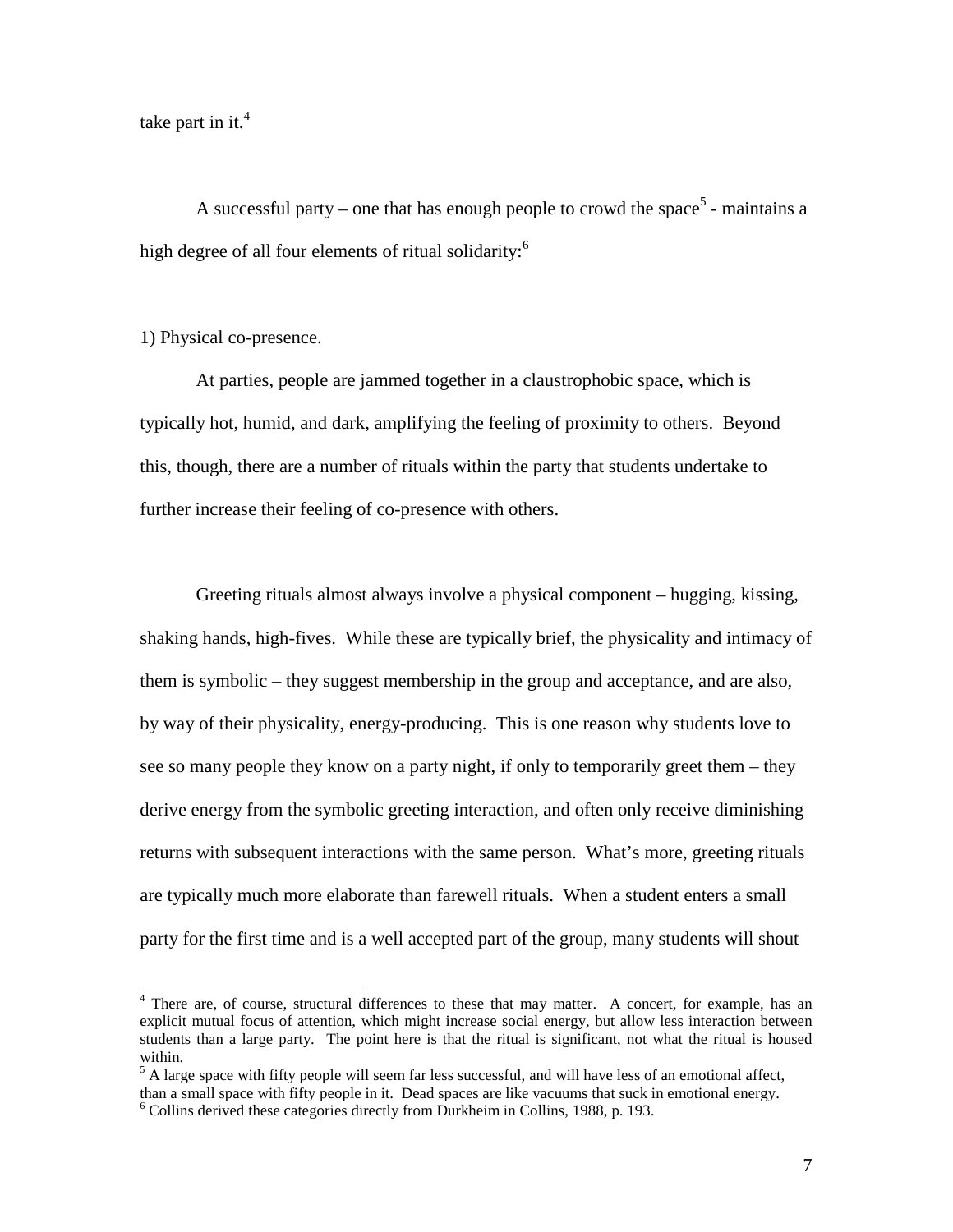take part in it. $4$ 

A successful party – one that has enough people to crowd the space<sup>5</sup> - maintains a high degree of all four elements of ritual solidarity:<sup>6</sup>

# 1) Physical co-presence.

 $\overline{a}$ 

At parties, people are jammed together in a claustrophobic space, which is typically hot, humid, and dark, amplifying the feeling of proximity to others. Beyond this, though, there are a number of rituals within the party that students undertake to further increase their feeling of co-presence with others.

Greeting rituals almost always involve a physical component – hugging, kissing, shaking hands, high-fives. While these are typically brief, the physicality and intimacy of them is symbolic – they suggest membership in the group and acceptance, and are also, by way of their physicality, energy-producing. This is one reason why students love to see so many people they know on a party night, if only to temporarily greet them – they derive energy from the symbolic greeting interaction, and often only receive diminishing returns with subsequent interactions with the same person. What's more, greeting rituals are typically much more elaborate than farewell rituals. When a student enters a small party for the first time and is a well accepted part of the group, many students will shout

<sup>&</sup>lt;sup>4</sup> There are, of course, structural differences to these that may matter. A concert, for example, has an explicit mutual focus of attention, which might increase social energy, but allow less interaction between students than a large party. The point here is that the ritual is significant, not what the ritual is housed within.

<sup>&</sup>lt;sup>5</sup> A large space with fifty people will seem far less successful, and will have less of an emotional affect, than a small space with fifty people in it. Dead spaces are like vacuums that suck in emotional energy.

<sup>6</sup> Collins derived these categories directly from Durkheim in Collins, 1988, p. 193.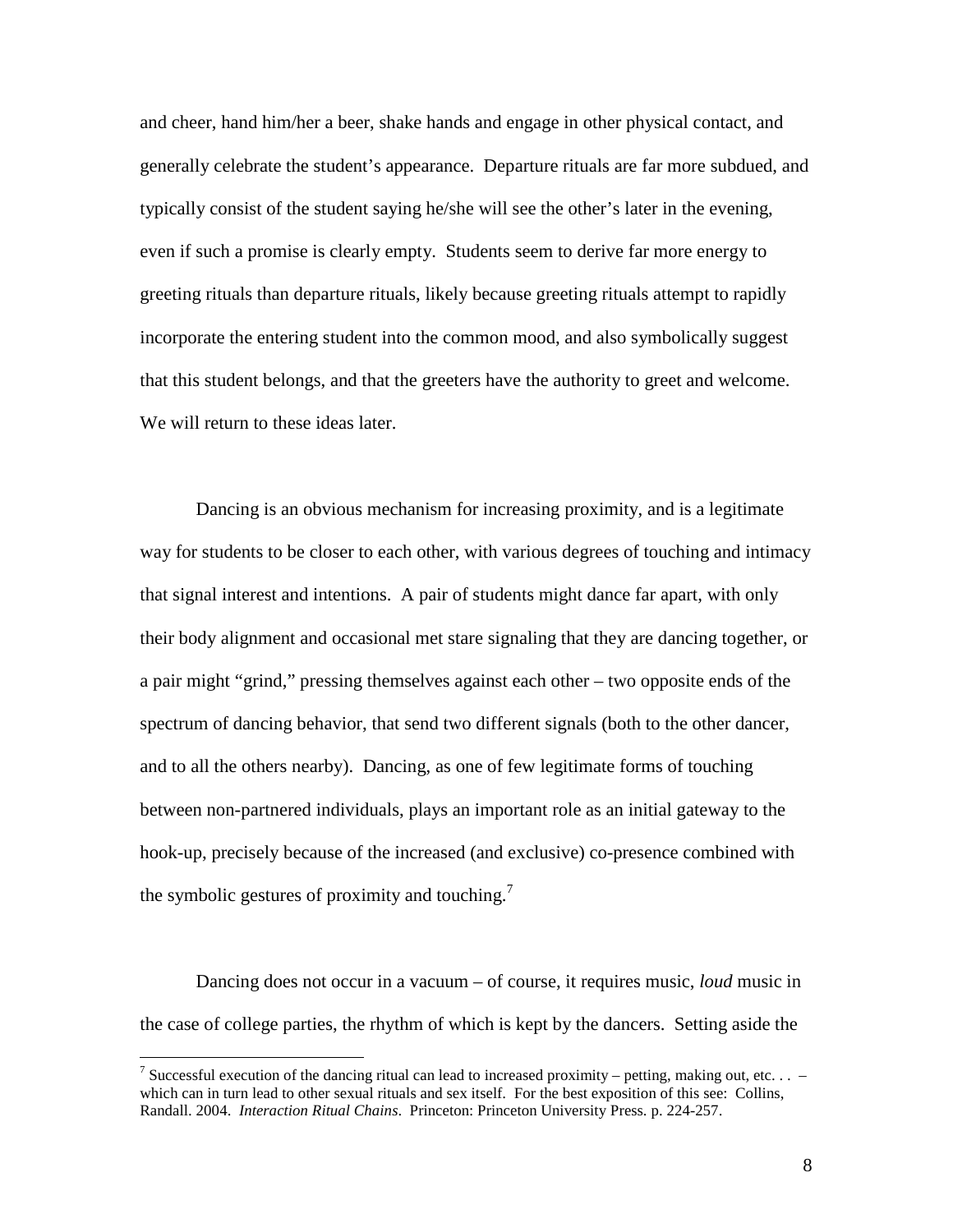and cheer, hand him/her a beer, shake hands and engage in other physical contact, and generally celebrate the student's appearance. Departure rituals are far more subdued, and typically consist of the student saying he/she will see the other's later in the evening, even if such a promise is clearly empty. Students seem to derive far more energy to greeting rituals than departure rituals, likely because greeting rituals attempt to rapidly incorporate the entering student into the common mood, and also symbolically suggest that this student belongs, and that the greeters have the authority to greet and welcome. We will return to these ideas later.

Dancing is an obvious mechanism for increasing proximity, and is a legitimate way for students to be closer to each other, with various degrees of touching and intimacy that signal interest and intentions. A pair of students might dance far apart, with only their body alignment and occasional met stare signaling that they are dancing together, or a pair might "grind," pressing themselves against each other – two opposite ends of the spectrum of dancing behavior, that send two different signals (both to the other dancer, and to all the others nearby). Dancing, as one of few legitimate forms of touching between non-partnered individuals, plays an important role as an initial gateway to the hook-up, precisely because of the increased (and exclusive) co-presence combined with the symbolic gestures of proximity and touching.<sup>7</sup>

Dancing does not occur in a vacuum – of course, it requires music, *loud* music in the case of college parties, the rhythm of which is kept by the dancers. Setting aside the

 $\overline{a}$ 

<sup>&</sup>lt;sup>7</sup> Successful execution of the dancing ritual can lead to increased proximity – petting, making out, etc.  $\ldots$  – which can in turn lead to other sexual rituals and sex itself. For the best exposition of this see: Collins, Randall. 2004. *Interaction Ritual Chains*. Princeton: Princeton University Press. p. 224-257.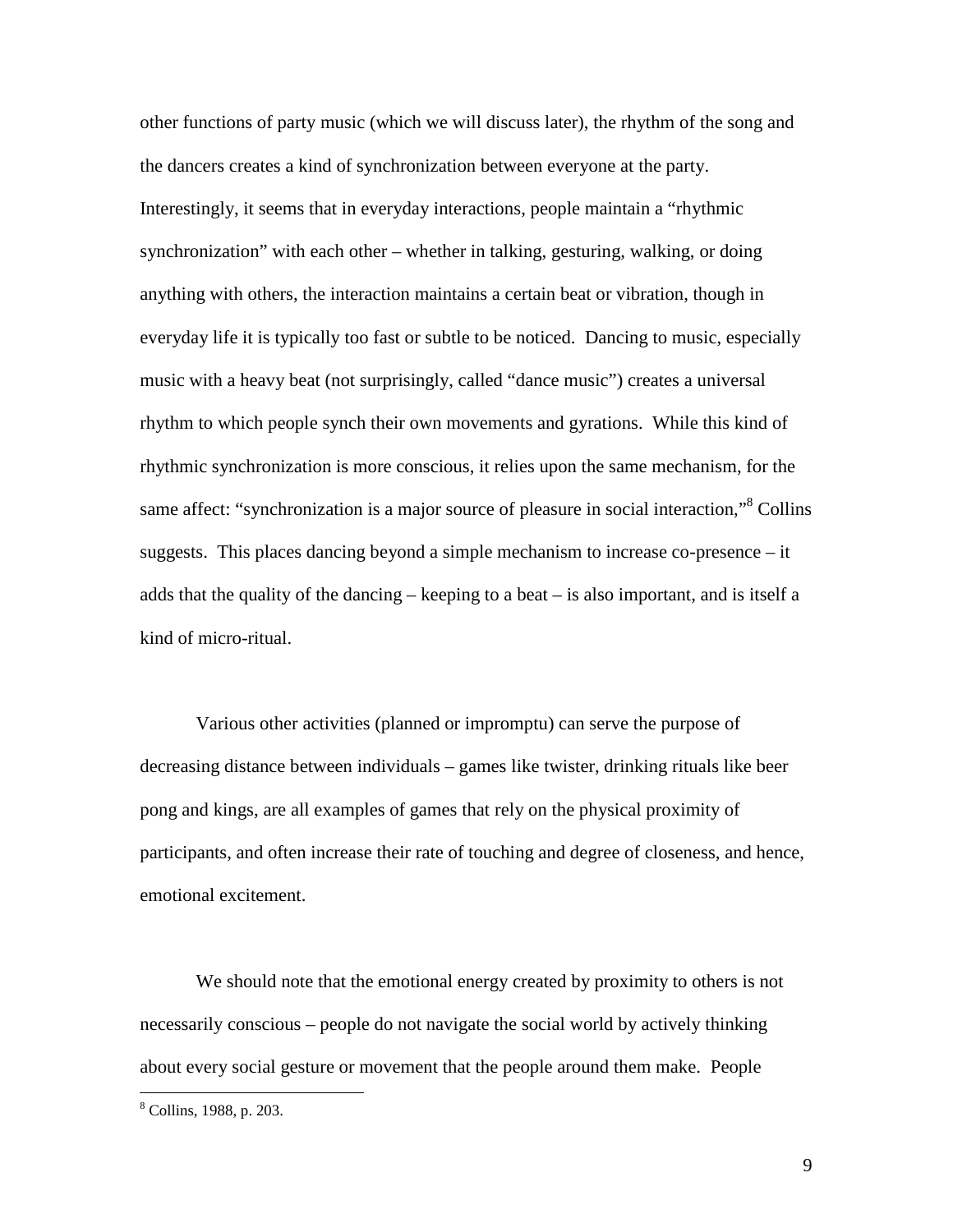other functions of party music (which we will discuss later), the rhythm of the song and the dancers creates a kind of synchronization between everyone at the party. Interestingly, it seems that in everyday interactions, people maintain a "rhythmic synchronization" with each other – whether in talking, gesturing, walking, or doing anything with others, the interaction maintains a certain beat or vibration, though in everyday life it is typically too fast or subtle to be noticed. Dancing to music, especially music with a heavy beat (not surprisingly, called "dance music") creates a universal rhythm to which people synch their own movements and gyrations. While this kind of rhythmic synchronization is more conscious, it relies upon the same mechanism, for the same affect: "synchronization is a major source of pleasure in social interaction,"<sup>8</sup> Collins suggests. This places dancing beyond a simple mechanism to increase co-presence – it adds that the quality of the dancing – keeping to a beat – is also important, and is itself a kind of micro-ritual.

Various other activities (planned or impromptu) can serve the purpose of decreasing distance between individuals – games like twister, drinking rituals like beer pong and kings, are all examples of games that rely on the physical proximity of participants, and often increase their rate of touching and degree of closeness, and hence, emotional excitement.

We should note that the emotional energy created by proximity to others is not necessarily conscious – people do not navigate the social world by actively thinking about every social gesture or movement that the people around them make. People

<u>.</u>

<sup>8</sup> Collins, 1988, p. 203.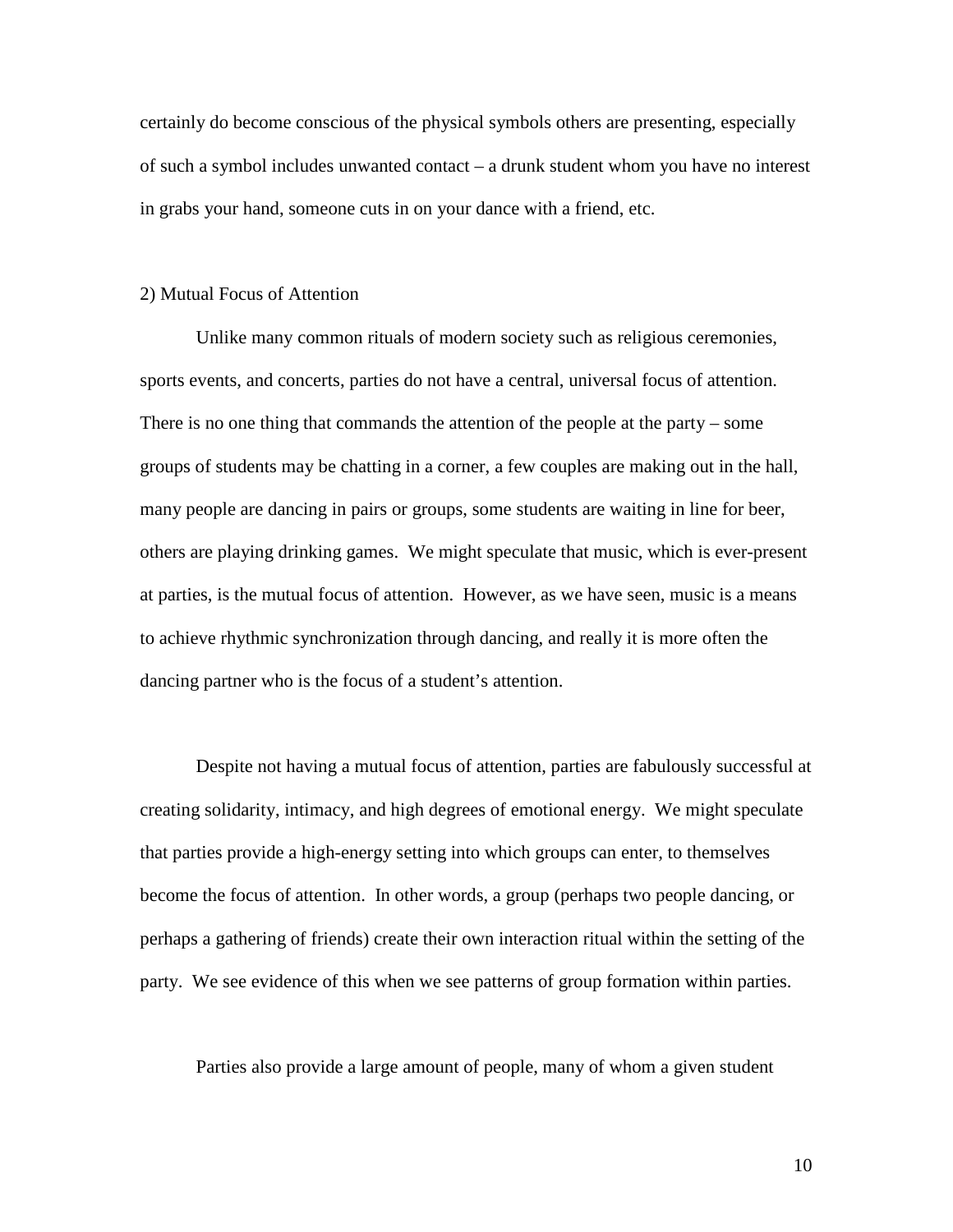certainly do become conscious of the physical symbols others are presenting, especially of such a symbol includes unwanted contact – a drunk student whom you have no interest in grabs your hand, someone cuts in on your dance with a friend, etc.

### 2) Mutual Focus of Attention

Unlike many common rituals of modern society such as religious ceremonies, sports events, and concerts, parties do not have a central, universal focus of attention. There is no one thing that commands the attention of the people at the party – some groups of students may be chatting in a corner, a few couples are making out in the hall, many people are dancing in pairs or groups, some students are waiting in line for beer, others are playing drinking games. We might speculate that music, which is ever-present at parties, is the mutual focus of attention. However, as we have seen, music is a means to achieve rhythmic synchronization through dancing, and really it is more often the dancing partner who is the focus of a student's attention.

Despite not having a mutual focus of attention, parties are fabulously successful at creating solidarity, intimacy, and high degrees of emotional energy. We might speculate that parties provide a high-energy setting into which groups can enter, to themselves become the focus of attention. In other words, a group (perhaps two people dancing, or perhaps a gathering of friends) create their own interaction ritual within the setting of the party. We see evidence of this when we see patterns of group formation within parties.

Parties also provide a large amount of people, many of whom a given student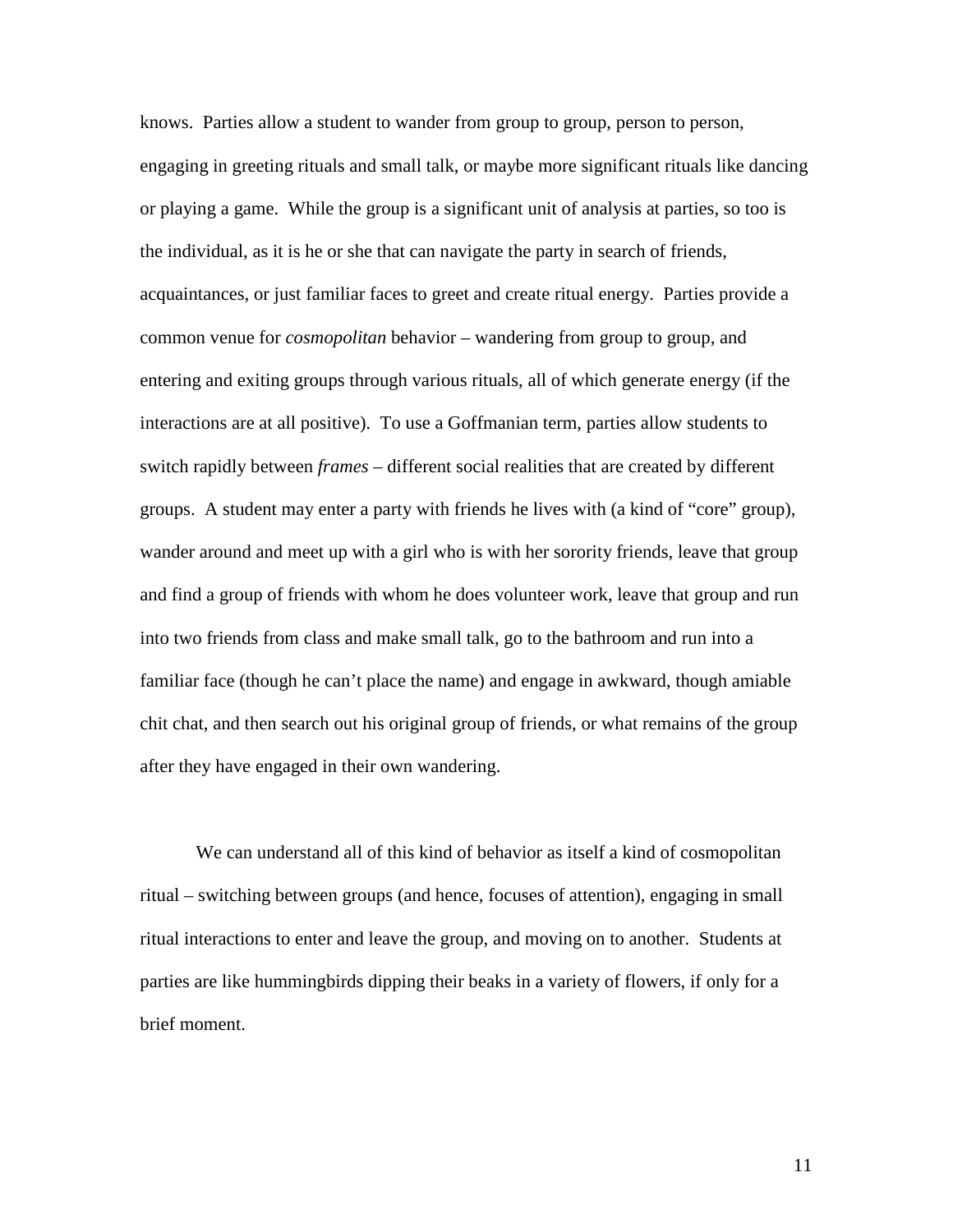knows. Parties allow a student to wander from group to group, person to person, engaging in greeting rituals and small talk, or maybe more significant rituals like dancing or playing a game. While the group is a significant unit of analysis at parties, so too is the individual, as it is he or she that can navigate the party in search of friends, acquaintances, or just familiar faces to greet and create ritual energy. Parties provide a common venue for *cosmopolitan* behavior – wandering from group to group, and entering and exiting groups through various rituals, all of which generate energy (if the interactions are at all positive). To use a Goffmanian term, parties allow students to switch rapidly between *frames* – different social realities that are created by different groups. A student may enter a party with friends he lives with (a kind of "core" group), wander around and meet up with a girl who is with her sorority friends, leave that group and find a group of friends with whom he does volunteer work, leave that group and run into two friends from class and make small talk, go to the bathroom and run into a familiar face (though he can't place the name) and engage in awkward, though amiable chit chat, and then search out his original group of friends, or what remains of the group after they have engaged in their own wandering.

 We can understand all of this kind of behavior as itself a kind of cosmopolitan ritual – switching between groups (and hence, focuses of attention), engaging in small ritual interactions to enter and leave the group, and moving on to another. Students at parties are like hummingbirds dipping their beaks in a variety of flowers, if only for a brief moment.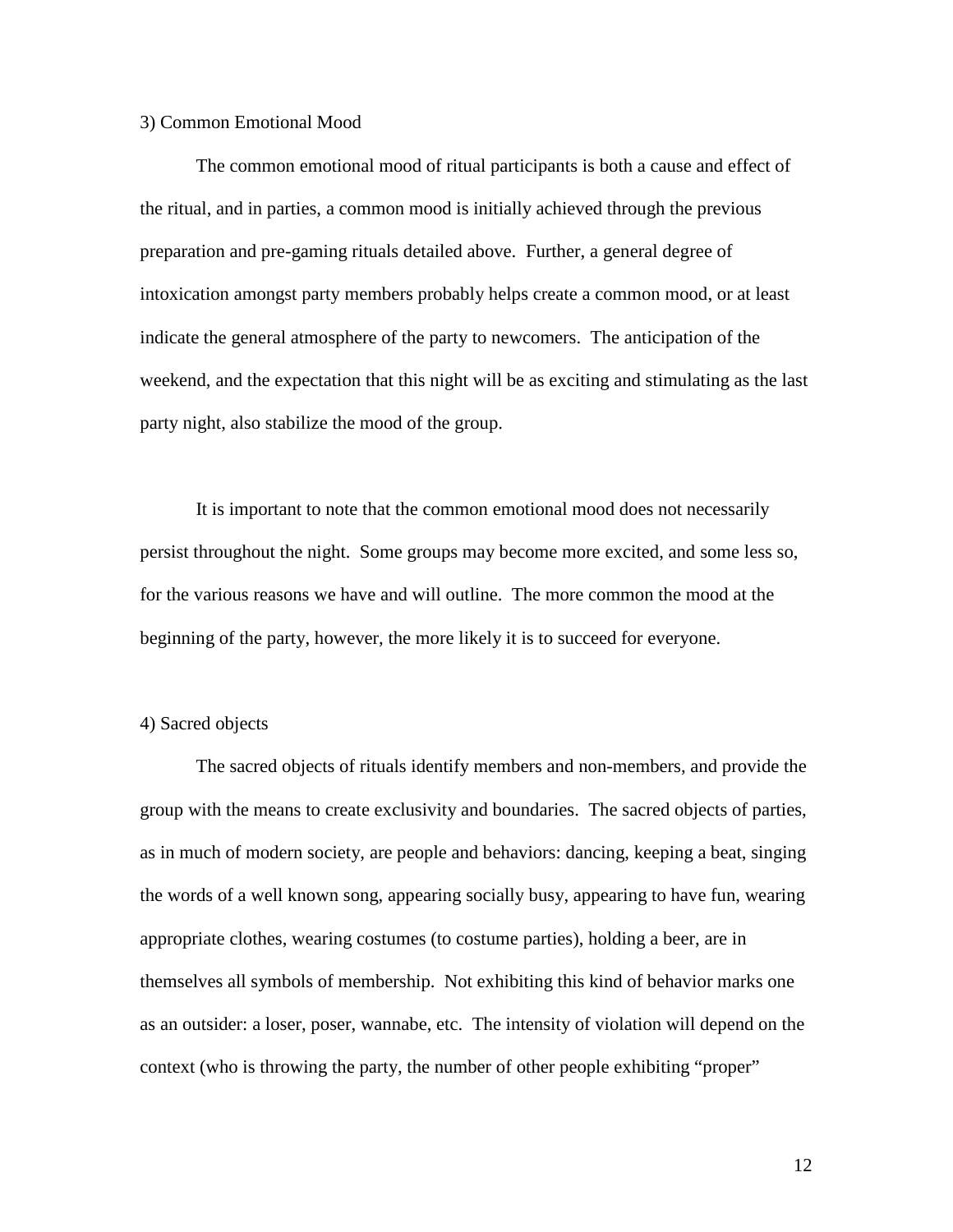### 3) Common Emotional Mood

The common emotional mood of ritual participants is both a cause and effect of the ritual, and in parties, a common mood is initially achieved through the previous preparation and pre-gaming rituals detailed above. Further, a general degree of intoxication amongst party members probably helps create a common mood, or at least indicate the general atmosphere of the party to newcomers. The anticipation of the weekend, and the expectation that this night will be as exciting and stimulating as the last party night, also stabilize the mood of the group.

It is important to note that the common emotional mood does not necessarily persist throughout the night. Some groups may become more excited, and some less so, for the various reasons we have and will outline. The more common the mood at the beginning of the party, however, the more likely it is to succeed for everyone.

### 4) Sacred objects

The sacred objects of rituals identify members and non-members, and provide the group with the means to create exclusivity and boundaries. The sacred objects of parties, as in much of modern society, are people and behaviors: dancing, keeping a beat, singing the words of a well known song, appearing socially busy, appearing to have fun, wearing appropriate clothes, wearing costumes (to costume parties), holding a beer, are in themselves all symbols of membership. Not exhibiting this kind of behavior marks one as an outsider: a loser, poser, wannabe, etc. The intensity of violation will depend on the context (who is throwing the party, the number of other people exhibiting "proper"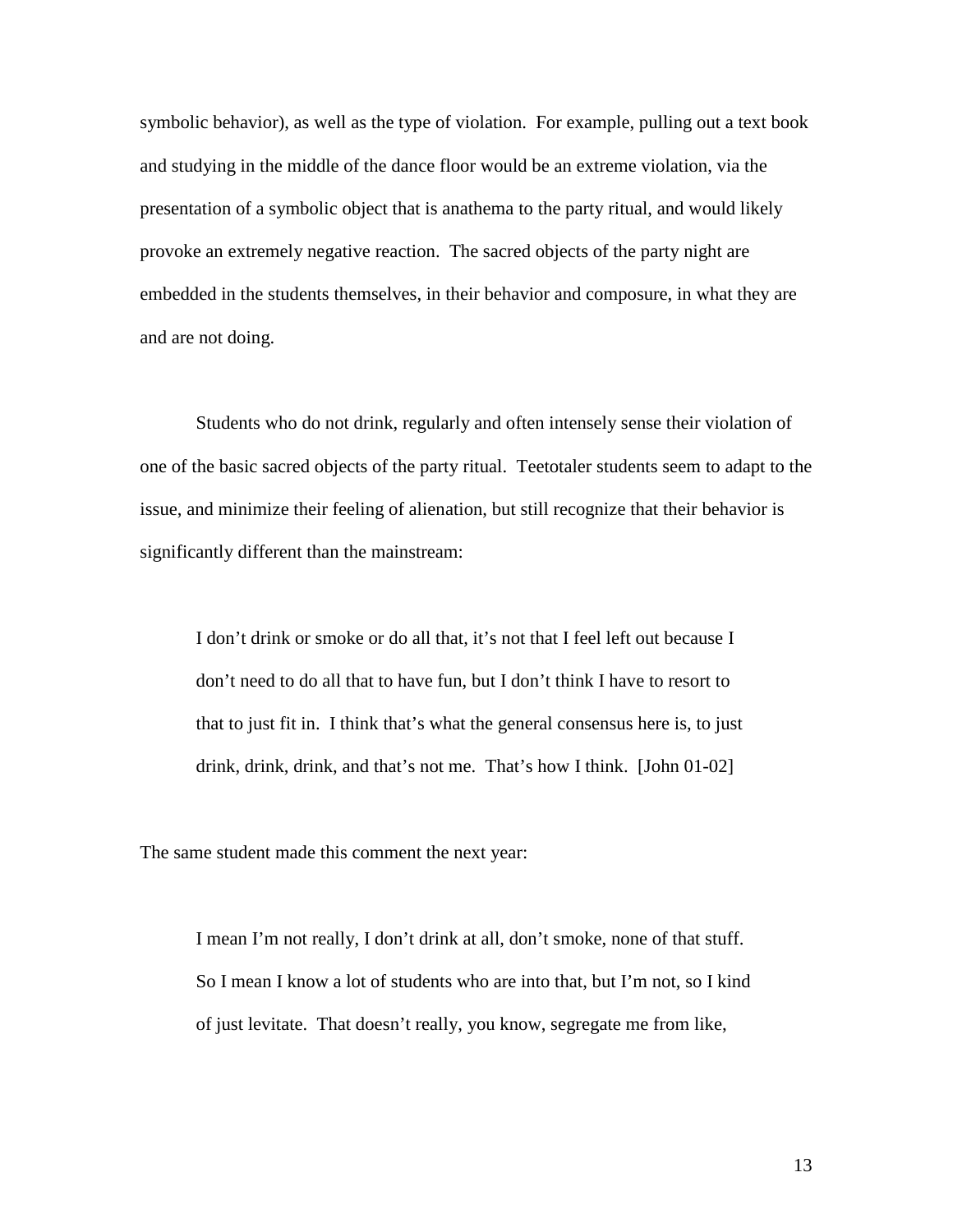symbolic behavior), as well as the type of violation. For example, pulling out a text book and studying in the middle of the dance floor would be an extreme violation, via the presentation of a symbolic object that is anathema to the party ritual, and would likely provoke an extremely negative reaction. The sacred objects of the party night are embedded in the students themselves, in their behavior and composure, in what they are and are not doing.

Students who do not drink, regularly and often intensely sense their violation of one of the basic sacred objects of the party ritual. Teetotaler students seem to adapt to the issue, and minimize their feeling of alienation, but still recognize that their behavior is significantly different than the mainstream:

I don't drink or smoke or do all that, it's not that I feel left out because I don't need to do all that to have fun, but I don't think I have to resort to that to just fit in. I think that's what the general consensus here is, to just drink, drink, drink, and that's not me. That's how I think. [John 01-02]

The same student made this comment the next year:

I mean I'm not really, I don't drink at all, don't smoke, none of that stuff. So I mean I know a lot of students who are into that, but I'm not, so I kind of just levitate. That doesn't really, you know, segregate me from like,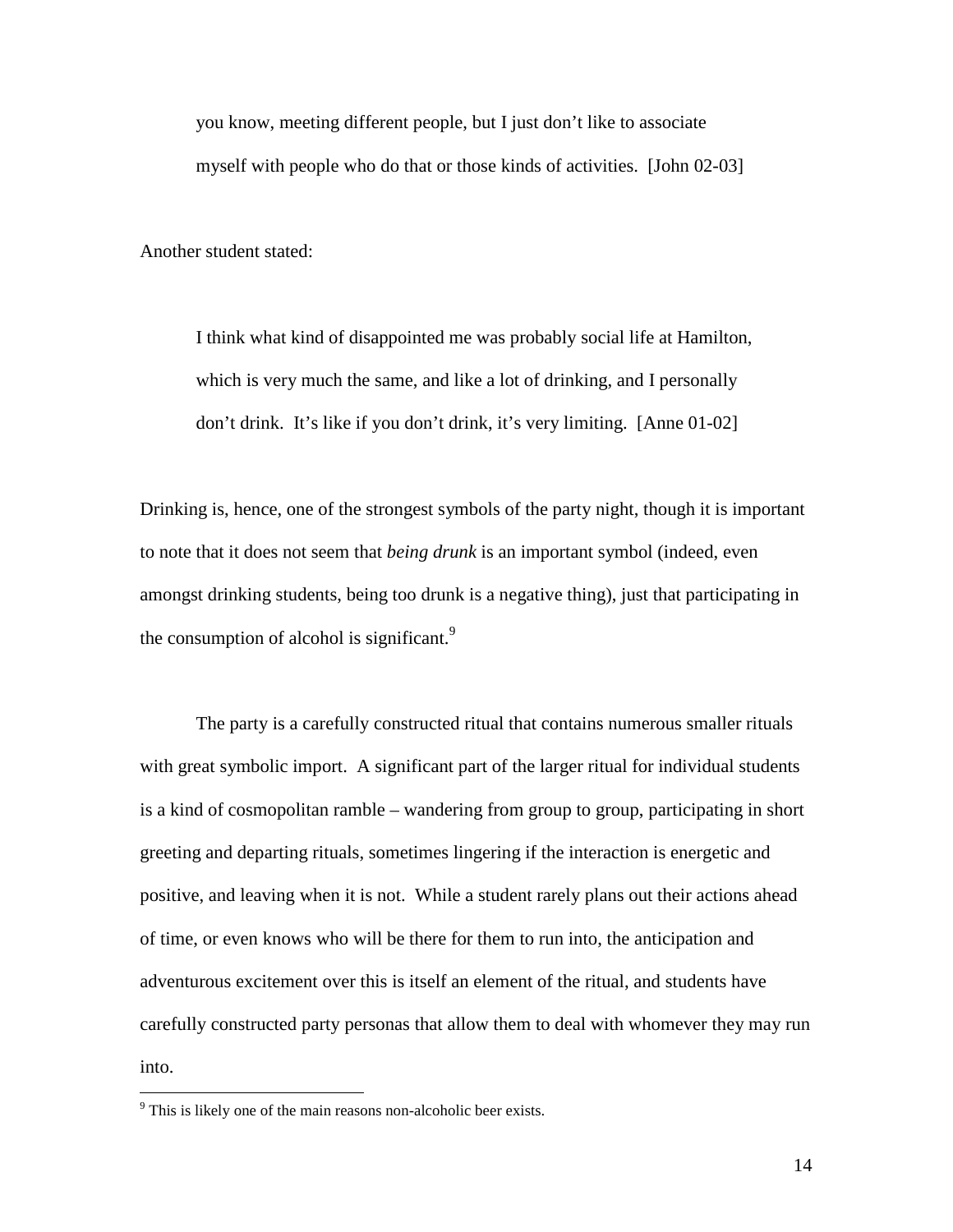you know, meeting different people, but I just don't like to associate myself with people who do that or those kinds of activities. [John 02-03]

Another student stated:

I think what kind of disappointed me was probably social life at Hamilton, which is very much the same, and like a lot of drinking, and I personally don't drink. It's like if you don't drink, it's very limiting. [Anne 01-02]

Drinking is, hence, one of the strongest symbols of the party night, though it is important to note that it does not seem that *being drunk* is an important symbol (indeed, even amongst drinking students, being too drunk is a negative thing), just that participating in the consumption of alcohol is significant.<sup>9</sup>

 The party is a carefully constructed ritual that contains numerous smaller rituals with great symbolic import. A significant part of the larger ritual for individual students is a kind of cosmopolitan ramble – wandering from group to group, participating in short greeting and departing rituals, sometimes lingering if the interaction is energetic and positive, and leaving when it is not. While a student rarely plans out their actions ahead of time, or even knows who will be there for them to run into, the anticipation and adventurous excitement over this is itself an element of the ritual, and students have carefully constructed party personas that allow them to deal with whomever they may run into.

 $\overline{a}$ 

<sup>&</sup>lt;sup>9</sup> This is likely one of the main reasons non-alcoholic beer exists.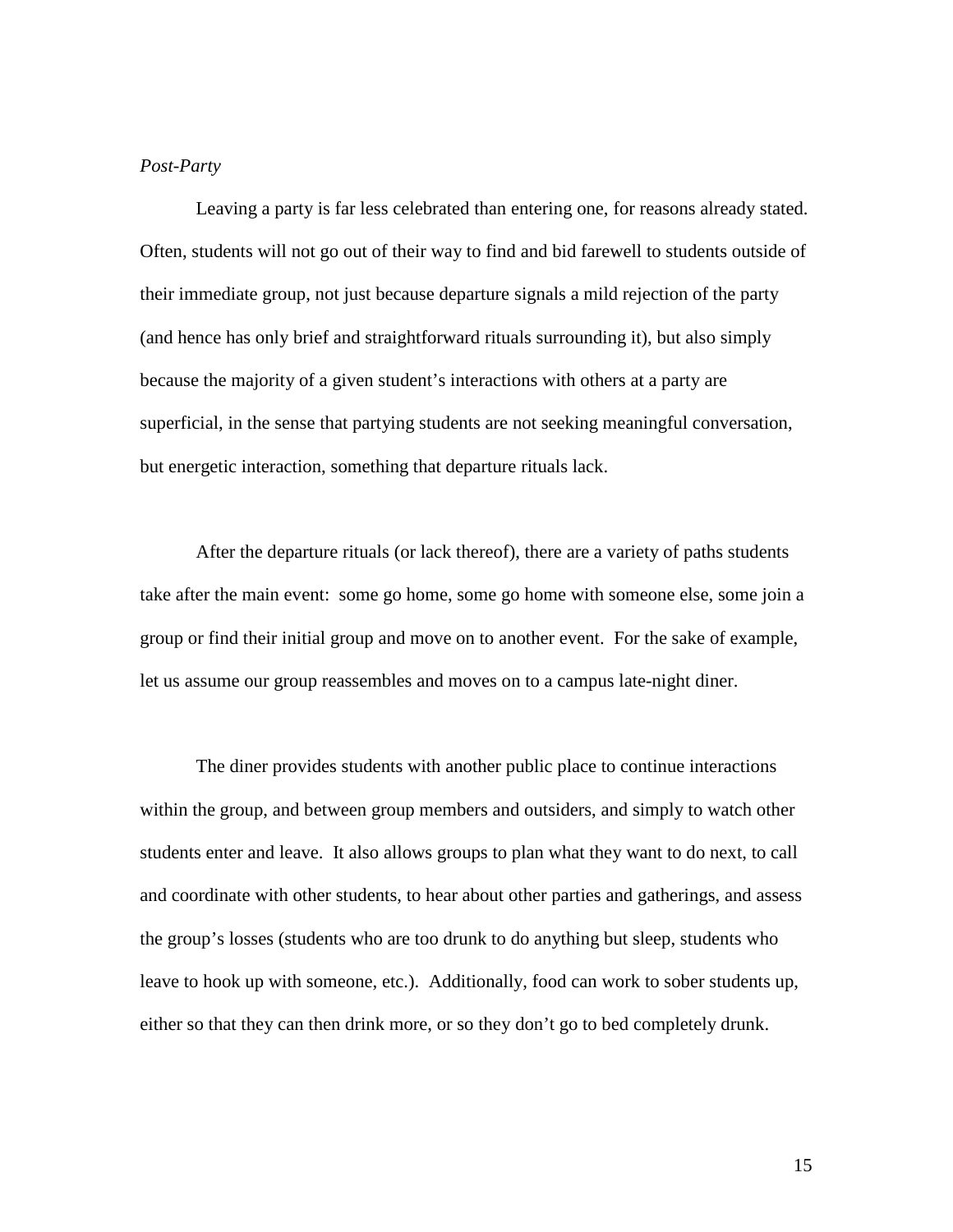### *Post-Party*

 Leaving a party is far less celebrated than entering one, for reasons already stated. Often, students will not go out of their way to find and bid farewell to students outside of their immediate group, not just because departure signals a mild rejection of the party (and hence has only brief and straightforward rituals surrounding it), but also simply because the majority of a given student's interactions with others at a party are superficial, in the sense that partying students are not seeking meaningful conversation, but energetic interaction, something that departure rituals lack.

 After the departure rituals (or lack thereof), there are a variety of paths students take after the main event: some go home, some go home with someone else, some join a group or find their initial group and move on to another event. For the sake of example, let us assume our group reassembles and moves on to a campus late-night diner.

 The diner provides students with another public place to continue interactions within the group, and between group members and outsiders, and simply to watch other students enter and leave. It also allows groups to plan what they want to do next, to call and coordinate with other students, to hear about other parties and gatherings, and assess the group's losses (students who are too drunk to do anything but sleep, students who leave to hook up with someone, etc.). Additionally, food can work to sober students up, either so that they can then drink more, or so they don't go to bed completely drunk.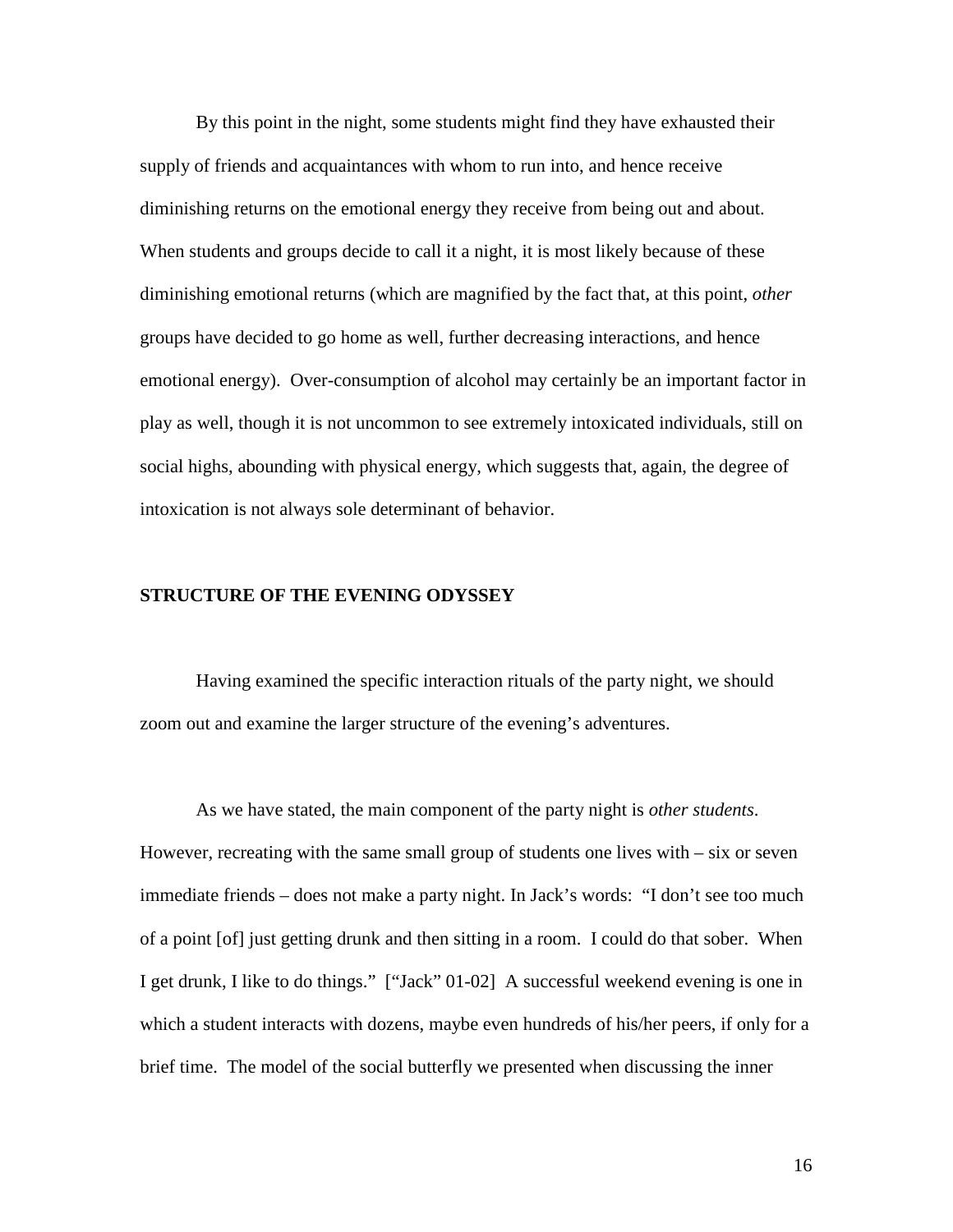By this point in the night, some students might find they have exhausted their supply of friends and acquaintances with whom to run into, and hence receive diminishing returns on the emotional energy they receive from being out and about. When students and groups decide to call it a night, it is most likely because of these diminishing emotional returns (which are magnified by the fact that, at this point, *other* groups have decided to go home as well, further decreasing interactions, and hence emotional energy). Over-consumption of alcohol may certainly be an important factor in play as well, though it is not uncommon to see extremely intoxicated individuals, still on social highs, abounding with physical energy, which suggests that, again, the degree of intoxication is not always sole determinant of behavior.

### **STRUCTURE OF THE EVENING ODYSSEY**

 Having examined the specific interaction rituals of the party night, we should zoom out and examine the larger structure of the evening's adventures.

 As we have stated, the main component of the party night is *other students*. However, recreating with the same small group of students one lives with  $-$  six or seven immediate friends – does not make a party night. In Jack's words: "I don't see too much of a point [of] just getting drunk and then sitting in a room. I could do that sober. When I get drunk, I like to do things." ["Jack" 01-02] A successful weekend evening is one in which a student interacts with dozens, maybe even hundreds of his/her peers, if only for a brief time. The model of the social butterfly we presented when discussing the inner